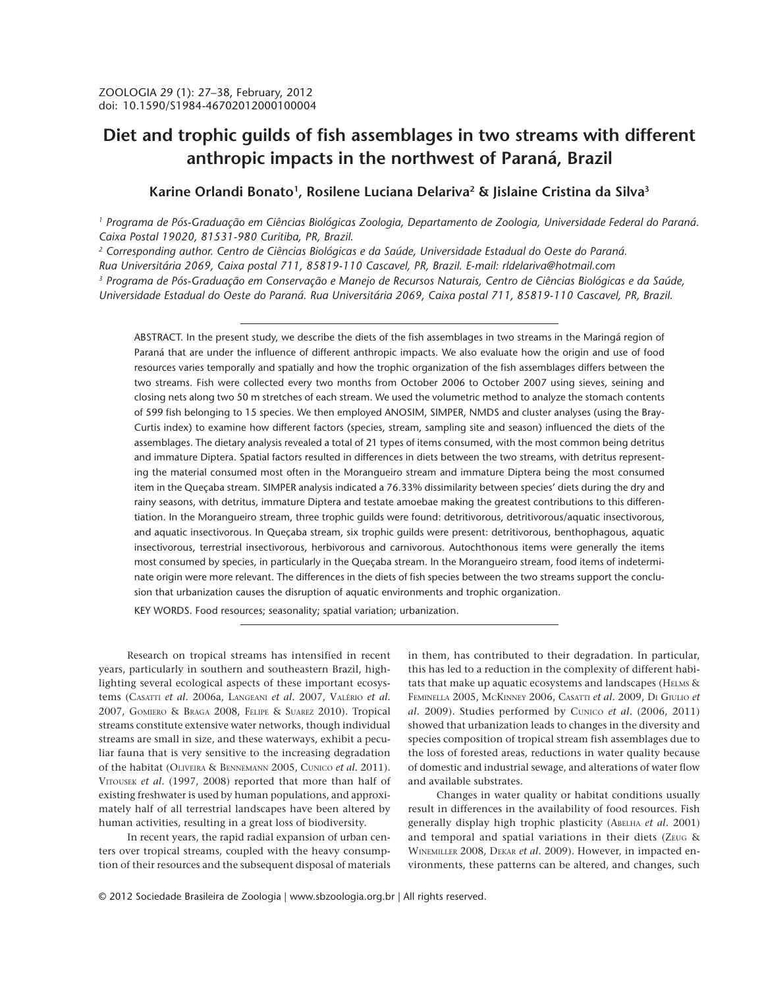# **Diet and trophic guilds of fish assemblages in two streams with different anthropic impacts in the northwest of Paraná, Brazil**

Karine Orlandi Bonato<sup>1</sup>, Rosilene Luciana Delariva<sup>2</sup> & Jislaine Cristina da Silva<sup>3</sup>

*1 Programa de Pós-Graduação em Ciências Biológicas Zoologia, Departamento de Zoologia, Universidade Federal do Paraná. Caixa Postal 19020, 81531-980 Curitiba, PR, Brazil.*

*2 Corresponding author. Centro de Ciências Biológicas e da Saúde, Universidade Estadual do Oeste do Paraná.*

*Rua Universitária 2069, Caixa postal 711, 85819-110 Cascavel, PR, Brazil. E-mail: rldelariva@hotmail.com*

*3 Programa de Pós-Graduação em Conservação e Manejo de Recursos Naturais, Centro de Ciências Biológicas e da Saúde, Universidade Estadual do Oeste do Paraná. Rua Universitária 2069, Caixa postal 711, 85819-110 Cascavel, PR, Brazil.*

ABSTRACT. In the present study, we describe the diets of the fish assemblages in two streams in the Maringá region of Paraná that are under the influence of different anthropic impacts. We also evaluate how the origin and use of food resources varies temporally and spatially and how the trophic organization of the fish assemblages differs between the two streams. Fish were collected every two months from October 2006 to October 2007 using sieves, seining and closing nets along two 50 m stretches of each stream. We used the volumetric method to analyze the stomach contents of 599 fish belonging to 15 species. We then employed ANOSIM, SIMPER, NMDS and cluster analyses (using the Bray-Curtis index) to examine how different factors (species, stream, sampling site and season) influenced the diets of the assemblages. The dietary analysis revealed a total of 21 types of items consumed, with the most common being detritus and immature Diptera. Spatial factors resulted in differences in diets between the two streams, with detritus representing the material consumed most often in the Morangueiro stream and immature Diptera being the most consumed item in the Queçaba stream. SIMPER analysis indicated a 76.33% dissimilarity between species' diets during the dry and rainy seasons, with detritus, immature Diptera and testate amoebae making the greatest contributions to this differentiation. In the Morangueiro stream, three trophic guilds were found: detritivorous, detritivorous/aquatic insectivorous, and aquatic insectivorous. In Queçaba stream, six trophic guilds were present: detritivorous, benthophagous, aquatic insectivorous, terrestrial insectivorous, herbivorous and carnivorous. Autochthonous items were generally the items most consumed by species, in particularly in the Queçaba stream. In the Morangueiro stream, food items of indeterminate origin were more relevant. The differences in the diets of fish species between the two streams support the conclusion that urbanization causes the disruption of aquatic environments and trophic organization.

KEY WORDS. Food resources; seasonality; spatial variation; urbanization.

Research on tropical streams has intensified in recent years, particularly in southern and southeastern Brazil, highlighting several ecological aspects of these important ecosystems (CASATTI *et al.* 2006a, LANGEANI *et al.* 2007, VALÉRIO *et al.* 2007, GOMIERO & BRAGA 2008, FELIPE & SUAREZ 2010). Tropical streams constitute extensive water networks, though individual streams are small in size, and these waterways, exhibit a peculiar fauna that is very sensitive to the increasing degradation of the habitat (OLIVEIRA & BENNEMANN 2005, CUNICO *et al.* 2011). VITOUSEK et al. (1997, 2008) reported that more than half of existing freshwater is used by human populations, and approximately half of all terrestrial landscapes have been altered by human activities, resulting in a great loss of biodiversity.

In recent years, the rapid radial expansion of urban centers over tropical streams, coupled with the heavy consumption of their resources and the subsequent disposal of materials in them, has contributed to their degradation. In particular, this has led to a reduction in the complexity of different habitats that make up aquatic ecosystems and landscapes (HELMS & FEMINELLA 2005, MCKINNEY 2006, CASATTI *et al.* 2009, DI GIULIO *et al.* 2009). Studies performed by CUNICO *et al.* (2006, 2011) showed that urbanization leads to changes in the diversity and species composition of tropical stream fish assemblages due to the loss of forested areas, reductions in water quality because of domestic and industrial sewage, and alterations of water flow and available substrates.

Changes in water quality or habitat conditions usually result in differences in the availability of food resources. Fish generally display high trophic plasticity (ABELHA *et al.* 2001) and temporal and spatial variations in their diets (ZEUG & WINEMILLER 2008, DEKAR *et al.* 2009). However, in impacted environments, these patterns can be altered, and changes, such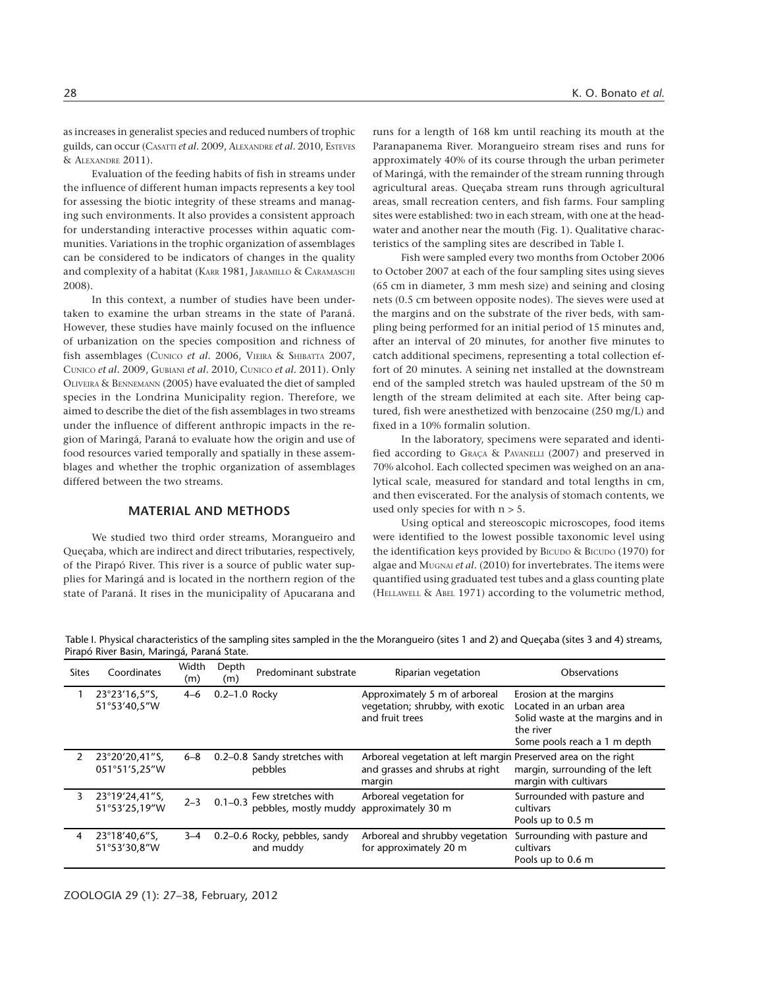as increases in generalist species and reduced numbers of trophic guilds, can occur (CASATTI *et al.* 2009, ALEXANDRE *et al.* 2010, ESTEVES & ALEXANDRE 2011).

Evaluation of the feeding habits of fish in streams under the influence of different human impacts represents a key tool for assessing the biotic integrity of these streams and managing such environments. It also provides a consistent approach for understanding interactive processes within aquatic communities. Variations in the trophic organization of assemblages can be considered to be indicators of changes in the quality and complexity of a habitat (KARR 1981, JARAMILLO & CARAMASCHI 2008).

In this context, a number of studies have been undertaken to examine the urban streams in the state of Paraná. However, these studies have mainly focused on the influence of urbanization on the species composition and richness of fish assemblages (CUNICO et al. 2006, VIEIRA & SHIBATTA 2007, CUNICO *et al.* 2009, GUBIANI *et al.* 2010, CUNICO *et al.* 2011). Only OLIVEIRA & BENNEMANN (2005) have evaluated the diet of sampled species in the Londrina Municipality region. Therefore, we aimed to describe the diet of the fish assemblages in two streams under the influence of different anthropic impacts in the region of Maringá, Paraná to evaluate how the origin and use of food resources varied temporally and spatially in these assemblages and whether the trophic organization of assemblages differed between the two streams.

## **MATERIAL AND METHODS**

We studied two third order streams, Morangueiro and Queçaba, which are indirect and direct tributaries, respectively, of the Pirapó River. This river is a source of public water supplies for Maringá and is located in the northern region of the state of Paraná. It rises in the municipality of Apucarana and

runs for a length of 168 km until reaching its mouth at the Paranapanema River. Morangueiro stream rises and runs for approximately 40% of its course through the urban perimeter of Maringá, with the remainder of the stream running through agricultural areas. Queçaba stream runs through agricultural areas, small recreation centers, and fish farms. Four sampling sites were established: two in each stream, with one at the headwater and another near the mouth (Fig. 1). Qualitative characteristics of the sampling sites are described in Table I.

Fish were sampled every two months from October 2006 to October 2007 at each of the four sampling sites using sieves (65 cm in diameter, 3 mm mesh size) and seining and closing nets (0.5 cm between opposite nodes). The sieves were used at the margins and on the substrate of the river beds, with sampling being performed for an initial period of 15 minutes and, after an interval of 20 minutes, for another five minutes to catch additional specimens, representing a total collection effort of 20 minutes. A seining net installed at the downstream end of the sampled stretch was hauled upstream of the 50 m length of the stream delimited at each site. After being captured, fish were anesthetized with benzocaine (250 mg/L) and fixed in a 10% formalin solution.

In the laboratory, specimens were separated and identified according to GRAÇA & PAVANELLI (2007) and preserved in 70% alcohol. Each collected specimen was weighed on an analytical scale, measured for standard and total lengths in cm, and then eviscerated. For the analysis of stomach contents, we used only species for with  $n > 5$ .

Using optical and stereoscopic microscopes, food items were identified to the lowest possible taxonomic level using the identification keys provided by BICUDO & BICUDO (1970) for algae and MUGNAI *et al.* (2010) for invertebrates. The items were quantified using graduated test tubes and a glass counting plate (HELLAWELL & ABEL 1971) according to the volumetric method,

Table I. Physical characteristics of the sampling sites sampled in the the Morangueiro (sites 1 and 2) and Queçaba (sites 3 and 4) streams, Pirapó River Basin, Maringá, Paraná State.

| <b>Sites</b> | Coordinates                     | Width<br>(m) | Depth<br>(m)    | Predominant substrate                                     | Riparian vegetation                                                                                         | <b>Observations</b>                                                                                                                  |
|--------------|---------------------------------|--------------|-----------------|-----------------------------------------------------------|-------------------------------------------------------------------------------------------------------------|--------------------------------------------------------------------------------------------------------------------------------------|
|              | 23°23'16,5"S,<br>51°53'40,5"W   | $4 - 6$      | $0.2-1.0$ Rocky |                                                           | Approximately 5 m of arboreal<br>vegetation; shrubby, with exotic<br>and fruit trees                        | Erosion at the margins<br>Located in an urban area<br>Solid waste at the margins and in<br>the river<br>Some pools reach a 1 m depth |
| 2            | 23°20'20,41"S,<br>051°51'5.25"W | 6–8          |                 | 0.2-0.8 Sandy stretches with<br>pebbles                   | Arboreal vegetation at left margin Preserved area on the right<br>and grasses and shrubs at right<br>margin | margin, surrounding of the left<br>margin with cultivars                                                                             |
| 3            | 23°19'24,41"S,<br>51°53'25,19"W |              |                 | 2-3 $0.1-0.3$ Few stretches with<br>pebbles, mostly muddy | Arboreal vegetation for<br>approximately 30 m                                                               | Surrounded with pasture and<br>cultivars<br>Pools up to 0.5 m                                                                        |
| 4            | 23°18'40,6"S,<br>51°53'30,8"W   | $3 - 4$      |                 | 0.2-0.6 Rocky, pebbles, sandy<br>and muddy                | Arboreal and shrubby vegetation<br>for approximately 20 m                                                   | Surrounding with pasture and<br>cultivars<br>Pools up to 0.6 m                                                                       |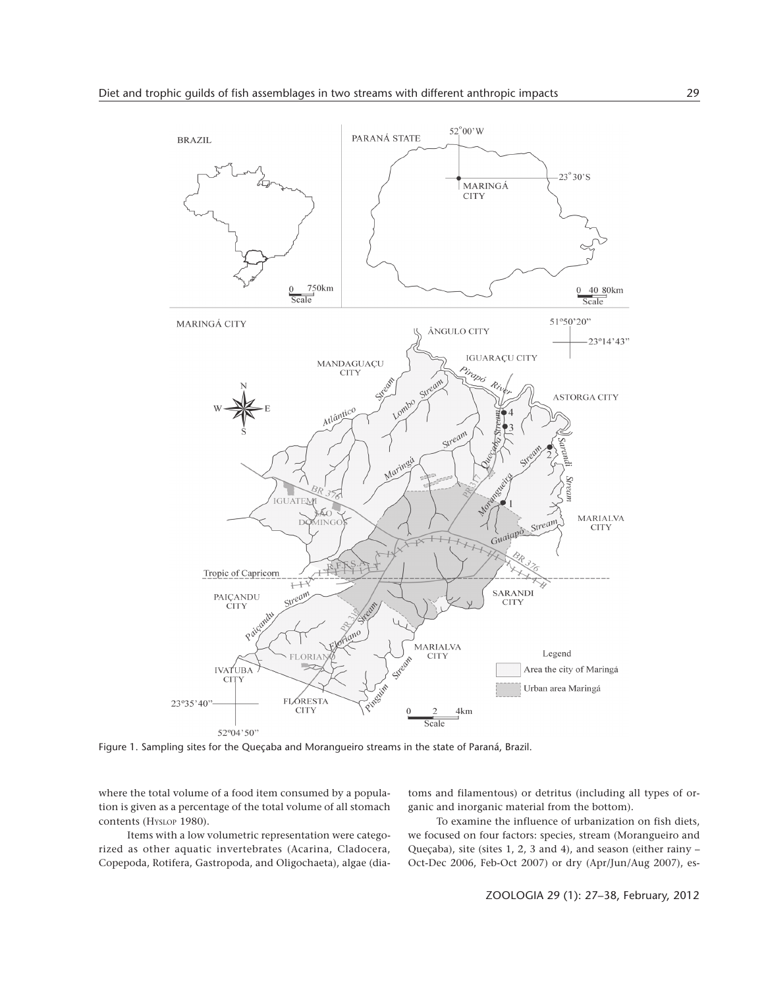

Figure 1. Sampling sites for the Queçaba and Morangueiro streams in the state of Paraná, Brazil.

where the total volume of a food item consumed by a population is given as a percentage of the total volume of all stomach contents (HYSLOP 1980).

Items with a low volumetric representation were categorized as other aquatic invertebrates (Acarina, Cladocera, Copepoda, Rotifera, Gastropoda, and Oligochaeta), algae (diatoms and filamentous) or detritus (including all types of organic and inorganic material from the bottom).

To examine the influence of urbanization on fish diets, we focused on four factors: species, stream (Morangueiro and Queçaba), site (sites 1, 2, 3 and 4), and season (either rainy – Oct-Dec 2006, Feb-Oct 2007) or dry (Apr/Jun/Aug 2007), es-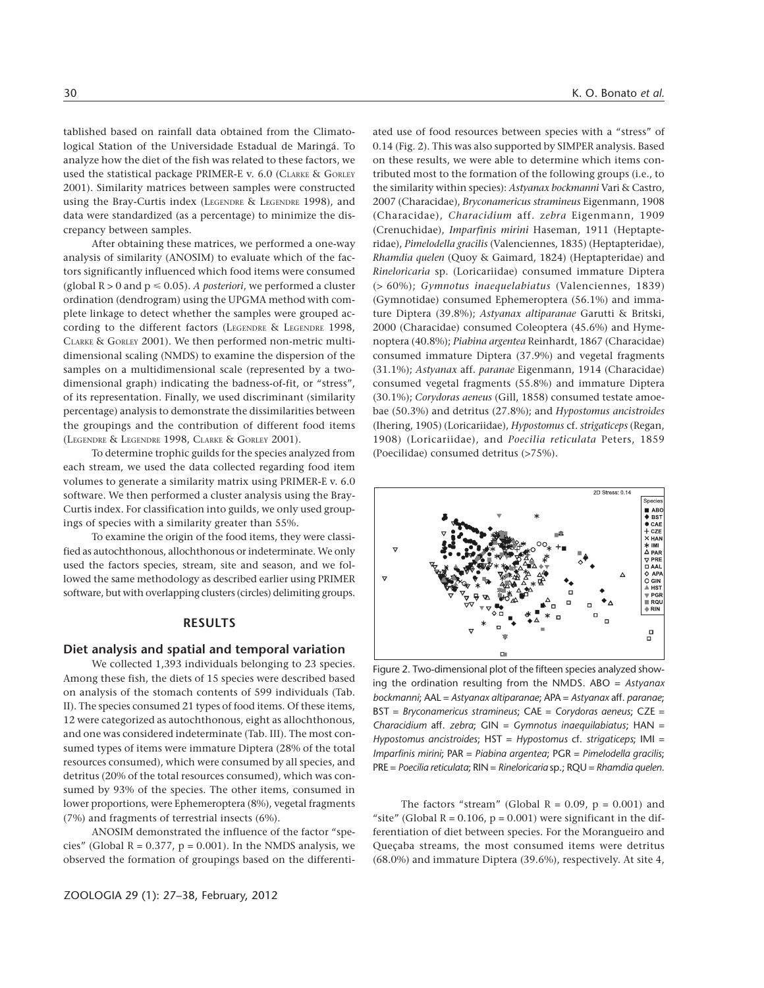tablished based on rainfall data obtained from the Climatological Station of the Universidade Estadual de Maringá. To analyze how the diet of the fish was related to these factors, we used the statistical package PRIMER-E v. 6.0 (CLARKE & GORLEY 2001). Similarity matrices between samples were constructed using the Bray-Curtis index (LEGENDRE & LEGENDRE 1998), and data were standardized (as a percentage) to minimize the discrepancy between samples.

After obtaining these matrices, we performed a one-way analysis of similarity (ANOSIM) to evaluate which of the factors significantly influenced which food items were consumed (global  $R > 0$  and  $p \le 0.05$ ). *A posteriori*, we performed a cluster ordination (dendrogram) using the UPGMA method with complete linkage to detect whether the samples were grouped according to the different factors (LEGENDRE & LEGENDRE 1998, CLARKE & GORLEY 2001). We then performed non-metric multidimensional scaling (NMDS) to examine the dispersion of the samples on a multidimensional scale (represented by a twodimensional graph) indicating the badness-of-fit, or "stress", of its representation. Finally, we used discriminant (similarity percentage) analysis to demonstrate the dissimilarities between the groupings and the contribution of different food items (LEGENDRE & LEGENDRE 1998, CLARKE & GORLEY 2001).

To determine trophic guilds for the species analyzed from each stream, we used the data collected regarding food item volumes to generate a similarity matrix using PRIMER-E v. 6.0 software. We then performed a cluster analysis using the Bray-Curtis index. For classification into guilds, we only used groupings of species with a similarity greater than 55%.

To examine the origin of the food items, they were classified as autochthonous, allochthonous or indeterminate. We only used the factors species, stream, site and season, and we followed the same methodology as described earlier using PRIMER software, but with overlapping clusters (circles) delimiting groups.

#### **RESULTS**

#### **Diet analysis and spatial and temporal variation**

We collected 1,393 individuals belonging to 23 species. Among these fish, the diets of 15 species were described based on analysis of the stomach contents of 599 individuals (Tab. II). The species consumed 21 types of food items. Of these items, 12 were categorized as autochthonous, eight as allochthonous, and one was considered indeterminate (Tab. III). The most consumed types of items were immature Diptera (28% of the total resources consumed), which were consumed by all species, and detritus (20% of the total resources consumed), which was consumed by 93% of the species. The other items, consumed in lower proportions, were Ephemeroptera (8%), vegetal fragments (7%) and fragments of terrestrial insects (6%).

ANOSIM demonstrated the influence of the factor "species" (Global  $R = 0.377$ ,  $p = 0.001$ ). In the NMDS analysis, we observed the formation of groupings based on the differenti-

ZOOLOGIA 29 (1): 27–38, February, 2012

ated use of food resources between species with a "stress" of 0.14 (Fig. 2). This was also supported by SIMPER analysis. Based on these results, we were able to determine which items contributed most to the formation of the following groups (i.e., to the similarity within species): *Astyanax bockmanni* Vari & Castro, 2007 (Characidae), *Bryconamericus stramineus* Eigenmann, 1908 (Characidae), *Characidium* aff. z*ebra* Eigenmann, 1909 (Crenuchidae), *Imparfinis mirini* Haseman, 1911 (Heptapteridae), *Pimelodella gracilis* (Valenciennes, 1835) (Heptapteridae), *Rhamdia quelen* (Quoy & Gaimard, 1824) (Heptapteridae) and *Rineloricaria* sp. (Loricariidae) consumed immature Diptera (> 60%); *Gymnotus inaequelabiatus* (Valenciennes, 1839) (Gymnotidae) consumed Ephemeroptera (56.1%) and immature Diptera (39.8%); *Astyanax altiparanae* Garutti & Britski, 2000 (Characidae) consumed Coleoptera (45.6%) and Hymenoptera (40.8%); *Piabina argentea* Reinhardt, 1867 (Characidae) consumed immature Diptera (37.9%) and vegetal fragments (31.1%); *Astyanax* aff. *paranae* Eigenmann, 1914 (Characidae) consumed vegetal fragments (55.8%) and immature Diptera (30.1%); *Corydoras aeneus* (Gill, 1858) consumed testate amoebae (50.3%) and detritus (27.8%); and *Hypostomus ancistroides* (Ihering, 1905) (Loricariidae), *Hypostomus* cf. *strigaticeps* (Regan, 1908) (Loricariidae), and *Poecilia reticulata* Peters, 1859 (Poecilidae) consumed detritus (>75%).



Figure 2. Two-dimensional plot of the fifteen species analyzed showing the ordination resulting from the NMDS. ABO = *Astyanax bockmanni*; AAL = *Astyanax altiparanae*; APA = *Astyanax* aff. *paranae*; BST = *Bryconamericus stramineus*; CAE = *Corydoras aeneus*; CZE = *Characidium* aff. *zebra*; GIN = *Gymnotus inaequilabiatus*; HAN = *Hypostomus ancistroides*; HST = *Hypostomus* cf. *strigaticeps*; IMI = *Imparfinis mirini*; PAR = *Piabina argentea*; PGR = *Pimelodella gracilis*; PRE = *Poecilia reticulata*; RIN = *Rineloricaria* sp.; RQU = *Rhamdia quelen*.

The factors "stream" (Global  $R = 0.09$ ,  $p = 0.001$ ) and "site" (Global  $R = 0.106$ ,  $p = 0.001$ ) were significant in the differentiation of diet between species. For the Morangueiro and Queçaba streams, the most consumed items were detritus (68.0%) and immature Diptera (39.6%), respectively. At site 4,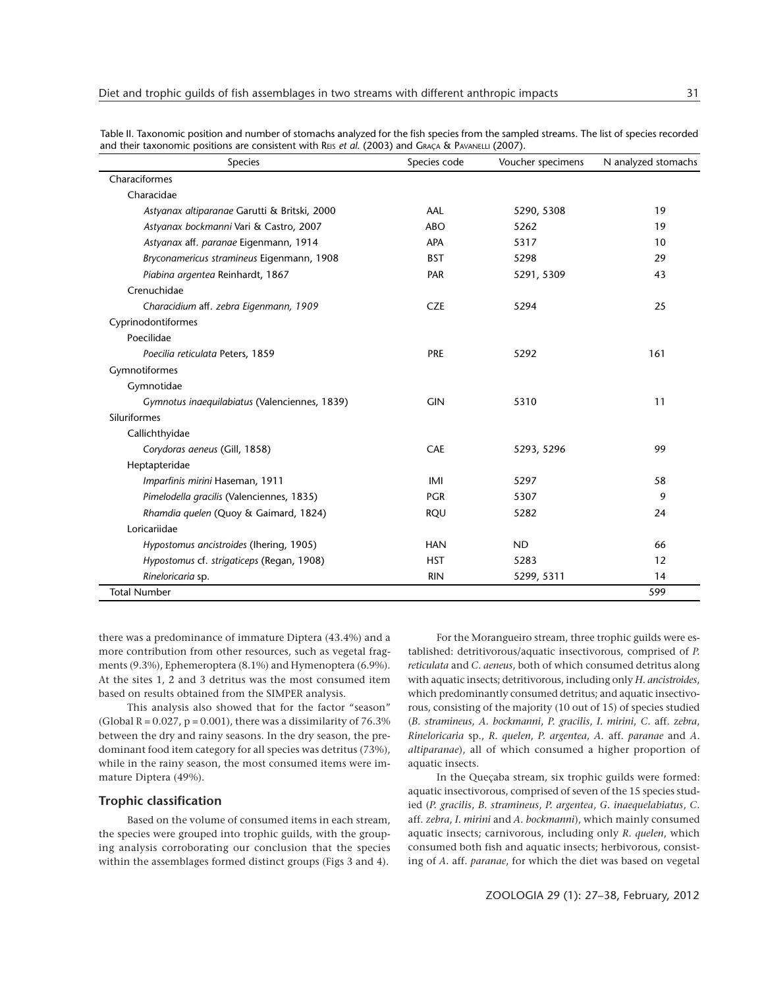| Species                                       | Species code | Voucher specimens | N analyzed stomachs |
|-----------------------------------------------|--------------|-------------------|---------------------|
| Characiformes                                 |              |                   |                     |
| Characidae                                    |              |                   |                     |
| Astyanax altiparanae Garutti & Britski, 2000  | AAL          | 5290, 5308        | 19                  |
| Astyanax bockmanni Vari & Castro, 2007        | <b>ABO</b>   | 5262              | 19                  |
| Astyanax aff. paranae Eigenmann, 1914         | <b>APA</b>   | 5317              | 10                  |
| Bryconamericus stramineus Eigenmann, 1908     | <b>BST</b>   | 5298              | 29                  |
| Piabina argentea Reinhardt, 1867              | PAR          | 5291, 5309        | 43                  |
| Crenuchidae                                   |              |                   |                     |
| Characidium aff. zebra Eigenmann, 1909        | <b>CZE</b>   | 5294              | 25                  |
| Cyprinodontiformes                            |              |                   |                     |
| Poecilidae                                    |              |                   |                     |
| Poecilia reticulata Peters, 1859              | <b>PRE</b>   | 5292              | 161                 |
| Gymnotiformes                                 |              |                   |                     |
| Gymnotidae                                    |              |                   |                     |
| Gymnotus inaequilabiatus (Valenciennes, 1839) | <b>GIN</b>   | 5310              | 11                  |
| Siluriformes                                  |              |                   |                     |
| Callichthyidae                                |              |                   |                     |
| Corydoras aeneus (Gill, 1858)                 | CAE          | 5293, 5296        | 99                  |
| Heptapteridae                                 |              |                   |                     |
| Imparfinis mirini Haseman, 1911               | IMI          | 5297              | 58                  |
| Pimelodella gracilis (Valenciennes, 1835)     | <b>PGR</b>   | 5307              | 9                   |
| Rhamdia quelen (Quoy & Gaimard, 1824)         | <b>RQU</b>   | 5282              | 24                  |
| Loricariidae                                  |              |                   |                     |
| Hypostomus ancistroides (Ihering, 1905)       | <b>HAN</b>   | <b>ND</b>         | 66                  |
| Hypostomus cf. strigaticeps (Regan, 1908)     | <b>HST</b>   | 5283              | 12                  |
| Rineloricaria sp.                             | <b>RIN</b>   | 5299, 5311        | 14                  |
| <b>Total Number</b>                           |              |                   | 599                 |

Table II. Taxonomic position and number of stomachs analyzed for the fish species from the sampled streams. The list of species recorded and their taxonomic positions are consistent with REIS *et al.* (2003) and GRAÇA & PAVANELLI (2007).

there was a predominance of immature Diptera (43.4%) and a more contribution from other resources, such as vegetal fragments (9.3%), Ephemeroptera (8.1%) and Hymenoptera (6.9%). At the sites 1, 2 and 3 detritus was the most consumed item based on results obtained from the SIMPER analysis.

This analysis also showed that for the factor "season" (Global R =  $0.027$ , p =  $0.001$ ), there was a dissimilarity of 76.3% between the dry and rainy seasons. In the dry season, the predominant food item category for all species was detritus (73%), while in the rainy season, the most consumed items were immature Diptera (49%).

## **Trophic classification**

Based on the volume of consumed items in each stream, the species were grouped into trophic guilds, with the grouping analysis corroborating our conclusion that the species within the assemblages formed distinct groups (Figs 3 and 4).

For the Morangueiro stream, three trophic guilds were established: detritivorous/aquatic insectivorous, comprised of *P. reticulata* and *C. aeneus*, both of which consumed detritus along with aquatic insects; detritivorous, including only *H. ancistroides*, which predominantly consumed detritus; and aquatic insectivorous, consisting of the majority (10 out of 15) of species studied (*B. stramineus*, *A. bockmanni*, *P. gracilis*, *I. mirini*, *C.* aff. z*ebra*, *Rineloricaria* sp., *R. quelen*, *P. argentea*, *A.* aff. *paranae* and *A. altiparanae*), all of which consumed a higher proportion of aquatic insects.

In the Queçaba stream, six trophic guilds were formed: aquatic insectivorous, comprised of seven of the 15 species studied (*P. gracilis*, *B. stramineus*, *P. argentea*, *G. inaequelabiatus*, *C.* aff. *zebra*, *I. mirini* and *A. bockmanni*), which mainly consumed aquatic insects; carnivorous, including only *R. quelen*, which consumed both fish and aquatic insects; herbivorous, consisting of *A.* aff. *paranae*, for which the diet was based on vegetal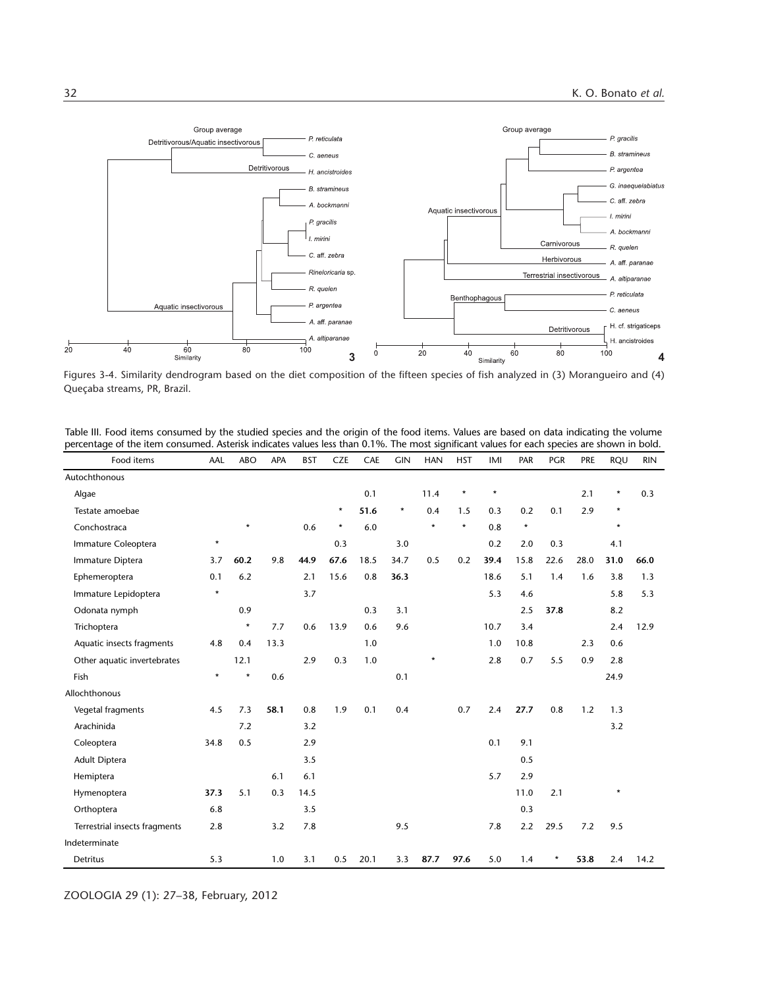

Figures 3-4. Similarity dendrogram based on the diet composition of the fifteen species of fish analyzed in (3) Morangueiro and (4) Queçaba streams, PR, Brazil.

| Food items                    | AAL     | <b>ABO</b> | APA  | <b>BST</b> | <b>CZE</b> | CAE  | <b>GIN</b> | <b>HAN</b> | <b>HST</b> | IMI     | PAR     | <b>PGR</b> | PRE  | <b>RQU</b> | <b>RIN</b> |
|-------------------------------|---------|------------|------|------------|------------|------|------------|------------|------------|---------|---------|------------|------|------------|------------|
| Autochthonous                 |         |            |      |            |            |      |            |            |            |         |         |            |      |            |            |
| Algae                         |         |            |      |            |            | 0.1  |            | 11.4       | $\star$    | $\star$ |         |            | 2.1  | $\star$    | 0.3        |
| Testate amoebae               |         |            |      |            | $\star$    | 51.6 | $\star$    | 0.4        | 1.5        | 0.3     | 0.2     | 0.1        | 2.9  | $\star$    |            |
| Conchostraca                  |         | $\star$    |      | 0.6        | $\star$    | 6.0  |            | $\star$    | $\star$    | 0.8     | $\star$ |            |      | $\star$    |            |
| Immature Coleoptera           | $\star$ |            |      |            | 0.3        |      | 3.0        |            |            | 0.2     | 2.0     | 0.3        |      | 4.1        |            |
| Immature Diptera              | 3.7     | 60.2       | 9.8  | 44.9       | 67.6       | 18.5 | 34.7       | 0.5        | 0.2        | 39.4    | 15.8    | 22.6       | 28.0 | 31.0       | 66.0       |
| Ephemeroptera                 | 0.1     | 6.2        |      | 2.1        | 15.6       | 0.8  | 36.3       |            |            | 18.6    | 5.1     | 1.4        | 1.6  | 3.8        | 1.3        |
| Immature Lepidoptera          | $\star$ |            |      | 3.7        |            |      |            |            |            | 5.3     | 4.6     |            |      | 5.8        | 5.3        |
| Odonata nymph                 |         | 0.9        |      |            |            | 0.3  | 3.1        |            |            |         | 2.5     | 37.8       |      | 8.2        |            |
| Trichoptera                   |         | $\star$    | 7.7  | 0.6        | 13.9       | 0.6  | 9.6        |            |            | 10.7    | 3.4     |            |      | 2.4        | 12.9       |
| Aquatic insects fragments     | 4.8     | 0.4        | 13.3 |            |            | 1.0  |            |            |            | 1.0     | 10.8    |            | 2.3  | 0.6        |            |
| Other aquatic invertebrates   |         | 12.1       |      | 2.9        | 0.3        | 1.0  |            | $^\star$   |            | 2.8     | 0.7     | 5.5        | 0.9  | 2.8        |            |
| Fish                          | $\star$ | $\star$    | 0.6  |            |            |      | 0.1        |            |            |         |         |            |      | 24.9       |            |
| Allochthonous                 |         |            |      |            |            |      |            |            |            |         |         |            |      |            |            |
| Vegetal fragments             | 4.5     | 7.3        | 58.1 | 0.8        | 1.9        | 0.1  | 0.4        |            | 0.7        | 2.4     | 27.7    | 0.8        | 1.2  | 1.3        |            |
| Arachinida                    |         | 7.2        |      | 3.2        |            |      |            |            |            |         |         |            |      | 3.2        |            |
| Coleoptera                    | 34.8    | 0.5        |      | 2.9        |            |      |            |            |            | 0.1     | 9.1     |            |      |            |            |
| Adult Diptera                 |         |            |      | 3.5        |            |      |            |            |            |         | 0.5     |            |      |            |            |
| Hemiptera                     |         |            | 6.1  | 6.1        |            |      |            |            |            | 5.7     | 2.9     |            |      |            |            |
| Hymenoptera                   | 37.3    | 5.1        | 0.3  | 14.5       |            |      |            |            |            |         | 11.0    | 2.1        |      | $\star$    |            |
| Orthoptera                    | 6.8     |            |      | 3.5        |            |      |            |            |            |         | 0.3     |            |      |            |            |
| Terrestrial insects fragments | 2.8     |            | 3.2  | 7.8        |            |      | 9.5        |            |            | 7.8     | 2.2     | 29.5       | 7.2  | 9.5        |            |
| Indeterminate                 |         |            |      |            |            |      |            |            |            |         |         |            |      |            |            |
| Detritus                      | 5.3     |            | 1.0  | 3.1        | 0.5        | 20.1 | 3.3        | 87.7       | 97.6       | 5.0     | 1.4     | $\star$    | 53.8 | 2.4        | 14.2       |

Table III. Food items consumed by the studied species and the origin of the food items. Values are based on data indicating the volume percentage of the item consumed. Asterisk indicates values less than 0.1%. The most significant values for each species are shown in bold.

ZOOLOGIA 29 (1): 27–38, February, 2012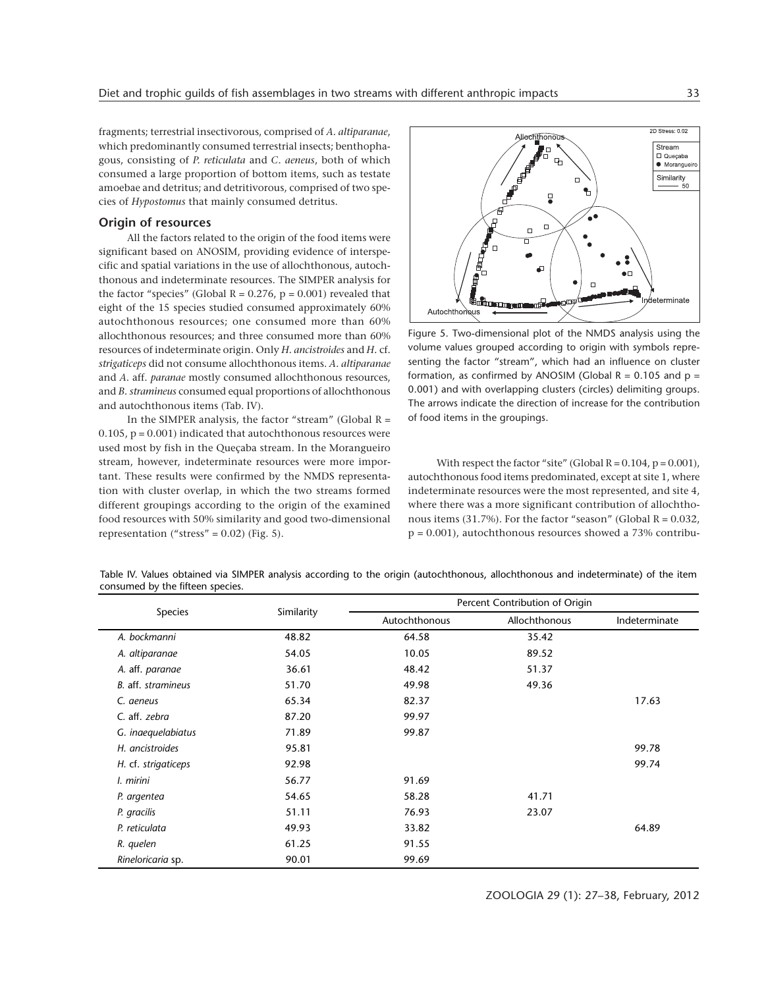fragments; terrestrial insectivorous, comprised of *A. altiparanae*, which predominantly consumed terrestrial insects; benthophagous, consisting of *P. reticulata* and *C. aeneus*, both of which consumed a large proportion of bottom items, such as testate amoebae and detritus; and detritivorous, comprised of two species of *Hypostomus* that mainly consumed detritus.

#### **Origin of resources**

All the factors related to the origin of the food items were significant based on ANOSIM, providing evidence of interspecific and spatial variations in the use of allochthonous, autochthonous and indeterminate resources. The SIMPER analysis for the factor "species" (Global  $R = 0.276$ ,  $p = 0.001$ ) revealed that eight of the 15 species studied consumed approximately 60% autochthonous resources; one consumed more than 60% allochthonous resources; and three consumed more than 60% resources of indeterminate origin. Only *H. ancistroides* and *H.* cf. *strigaticeps* did not consume allochthonous items. *A. altiparanae* and *A*. aff. *paranae* mostly consumed allochthonous resources, and *B. stramineus* consumed equal proportions of allochthonous and autochthonous items (Tab. IV).

In the SIMPER analysis, the factor "stream" (Global  $R =$  $0.105$ ,  $p = 0.001$ ) indicated that autochthonous resources were used most by fish in the Queçaba stream. In the Morangueiro stream, however, indeterminate resources were more important. These results were confirmed by the NMDS representation with cluster overlap, in which the two streams formed different groupings according to the origin of the examined food resources with 50% similarity and good two-dimensional representation ("stress" =  $0.02$ ) (Fig. 5).



Figure 5. Two-dimensional plot of the NMDS analysis using the volume values grouped according to origin with symbols representing the factor "stream", which had an influence on cluster formation, as confirmed by ANOSIM (Global  $R = 0.105$  and  $p =$ 0.001) and with overlapping clusters (circles) delimiting groups. The arrows indicate the direction of increase for the contribution of food items in the groupings.

With respect the factor "site" (Global  $R = 0.104$ ,  $p = 0.001$ ), autochthonous food items predominated, except at site 1, where indeterminate resources were the most represented, and site 4, where there was a more significant contribution of allochthonous items (31.7%). For the factor "season" (Global  $R = 0.032$ , p = 0.001), autochthonous resources showed a 73% contribu-

Table IV. Values obtained via SIMPER analysis according to the origin (autochthonous, allochthonous and indeterminate) of the item consumed by the fifteen species.

| Species             | Similarity | Percent Contribution of Origin |               |               |  |  |  |  |  |
|---------------------|------------|--------------------------------|---------------|---------------|--|--|--|--|--|
|                     |            | Autochthonous                  | Allochthonous | Indeterminate |  |  |  |  |  |
| A. bockmanni        | 48.82      | 64.58                          | 35.42         |               |  |  |  |  |  |
| A. altiparanae      | 54.05      | 10.05                          | 89.52         |               |  |  |  |  |  |
| A. aff. paranae     | 36.61      | 48.42                          | 51.37         |               |  |  |  |  |  |
| B. aff. stramineus  | 51.70      | 49.98                          | 49.36         |               |  |  |  |  |  |
| C. aeneus           | 65.34      | 82.37                          |               | 17.63         |  |  |  |  |  |
| C. aff. zebra       | 87.20      | 99.97                          |               |               |  |  |  |  |  |
| G. inaequelabiatus  | 71.89      | 99.87                          |               |               |  |  |  |  |  |
| H. ancistroides     | 95.81      |                                |               | 99.78         |  |  |  |  |  |
| H. cf. strigaticeps | 92.98      |                                |               | 99.74         |  |  |  |  |  |
| I. mirini           | 56.77      | 91.69                          |               |               |  |  |  |  |  |
| P. argentea         | 54.65      | 58.28                          | 41.71         |               |  |  |  |  |  |
| P. gracilis         | 51.11      | 76.93                          | 23.07         |               |  |  |  |  |  |
| P. reticulata       | 49.93      | 33.82                          |               | 64.89         |  |  |  |  |  |
| R. quelen           | 61.25      | 91.55                          |               |               |  |  |  |  |  |
| Rineloricaria sp.   | 90.01      | 99.69                          |               |               |  |  |  |  |  |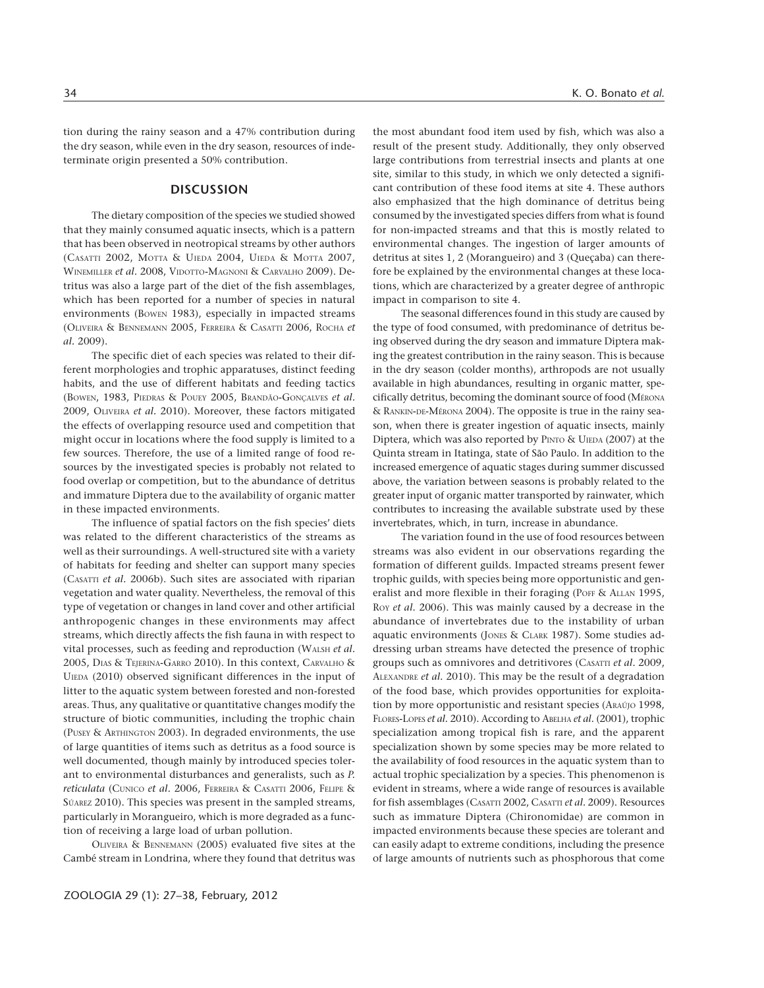tion during the rainy season and a 47% contribution during the dry season, while even in the dry season, resources of indeterminate origin presented a 50% contribution.

### **DISCUSSION**

The dietary composition of the species we studied showed that they mainly consumed aquatic insects, which is a pattern that has been observed in neotropical streams by other authors (CASATTI 2002, MOTTA & UIEDA 2004, UIEDA & MOTTA 2007, WINEMILLER *et al.* 2008, VIDOTTO-MAGNONI & CARVALHO 2009). Detritus was also a large part of the diet of the fish assemblages, which has been reported for a number of species in natural environments (BOWEN 1983), especially in impacted streams (OLIVEIRA & BENNEMANN 2005, FERREIRA & CASATTI 2006, ROCHA *et al.* 2009).

The specific diet of each species was related to their different morphologies and trophic apparatuses, distinct feeding habits, and the use of different habitats and feeding tactics (BOWEN, 1983, PIEDRAS & POUEY 2005, BRANDÃO-GONÇALVES *et al.* 2009, OLIVEIRA *et al.* 2010). Moreover, these factors mitigated the effects of overlapping resource used and competition that might occur in locations where the food supply is limited to a few sources. Therefore, the use of a limited range of food resources by the investigated species is probably not related to food overlap or competition, but to the abundance of detritus and immature Diptera due to the availability of organic matter in these impacted environments.

The influence of spatial factors on the fish species' diets was related to the different characteristics of the streams as well as their surroundings. A well-structured site with a variety of habitats for feeding and shelter can support many species (CASATTI *et al.* 2006b). Such sites are associated with riparian vegetation and water quality. Nevertheless, the removal of this type of vegetation or changes in land cover and other artificial anthropogenic changes in these environments may affect streams, which directly affects the fish fauna in with respect to vital processes, such as feeding and reproduction (WALSH *et al.* 2005, DIAS & TEJERINA-GARRO 2010). In this context, CARVALHO & UIEDA (2010) observed significant differences in the input of litter to the aquatic system between forested and non-forested areas. Thus, any qualitative or quantitative changes modify the structure of biotic communities, including the trophic chain (PUSEY & ARTHINGTON 2003). In degraded environments, the use of large quantities of items such as detritus as a food source is well documented, though mainly by introduced species tolerant to environmental disturbances and generalists, such as *P. reticulata* (CUNICO *et al.* 2006, FERREIRA & CASATTI 2006, FELIPE & SÚAREZ 2010). This species was present in the sampled streams, particularly in Morangueiro, which is more degraded as a function of receiving a large load of urban pollution.

OLIVEIRA & BENNEMANN (2005) evaluated five sites at the Cambé stream in Londrina, where they found that detritus was

the most abundant food item used by fish, which was also a result of the present study. Additionally, they only observed large contributions from terrestrial insects and plants at one site, similar to this study, in which we only detected a significant contribution of these food items at site 4. These authors also emphasized that the high dominance of detritus being consumed by the investigated species differs from what is found for non-impacted streams and that this is mostly related to environmental changes. The ingestion of larger amounts of detritus at sites 1, 2 (Morangueiro) and 3 (Queçaba) can therefore be explained by the environmental changes at these locations, which are characterized by a greater degree of anthropic impact in comparison to site 4.

The seasonal differences found in this study are caused by the type of food consumed, with predominance of detritus being observed during the dry season and immature Diptera making the greatest contribution in the rainy season. This is because in the dry season (colder months), arthropods are not usually available in high abundances, resulting in organic matter, specifically detritus, becoming the dominant source of food (MÉRONA & RANKIN-DE-MÉRONA 2004). The opposite is true in the rainy season, when there is greater ingestion of aquatic insects, mainly Diptera, which was also reported by PINTO & UIEDA (2007) at the Quinta stream in Itatinga, state of São Paulo. In addition to the increased emergence of aquatic stages during summer discussed above, the variation between seasons is probably related to the greater input of organic matter transported by rainwater, which contributes to increasing the available substrate used by these invertebrates, which, in turn, increase in abundance.

The variation found in the use of food resources between streams was also evident in our observations regarding the formation of different guilds. Impacted streams present fewer trophic guilds, with species being more opportunistic and generalist and more flexible in their foraging (POFF & ALLAN 1995, ROY *et al.* 2006). This was mainly caused by a decrease in the abundance of invertebrates due to the instability of urban aquatic environments (JONES & CLARK 1987). Some studies addressing urban streams have detected the presence of trophic groups such as omnivores and detritivores (CASATTI *et al.* 2009, ALEXANDRE *et al.* 2010). This may be the result of a degradation of the food base, which provides opportunities for exploitation by more opportunistic and resistant species (ARAÚJO 1998, FLORES-LOPES *et al.* 2010). According to ABELHA *et al.* (2001), trophic specialization among tropical fish is rare, and the apparent specialization shown by some species may be more related to the availability of food resources in the aquatic system than to actual trophic specialization by a species. This phenomenon is evident in streams, where a wide range of resources is available for fish assemblages (CASATTI 2002, CASATTI *et al.* 2009). Resources such as immature Diptera (Chironomidae) are common in impacted environments because these species are tolerant and can easily adapt to extreme conditions, including the presence of large amounts of nutrients such as phosphorous that come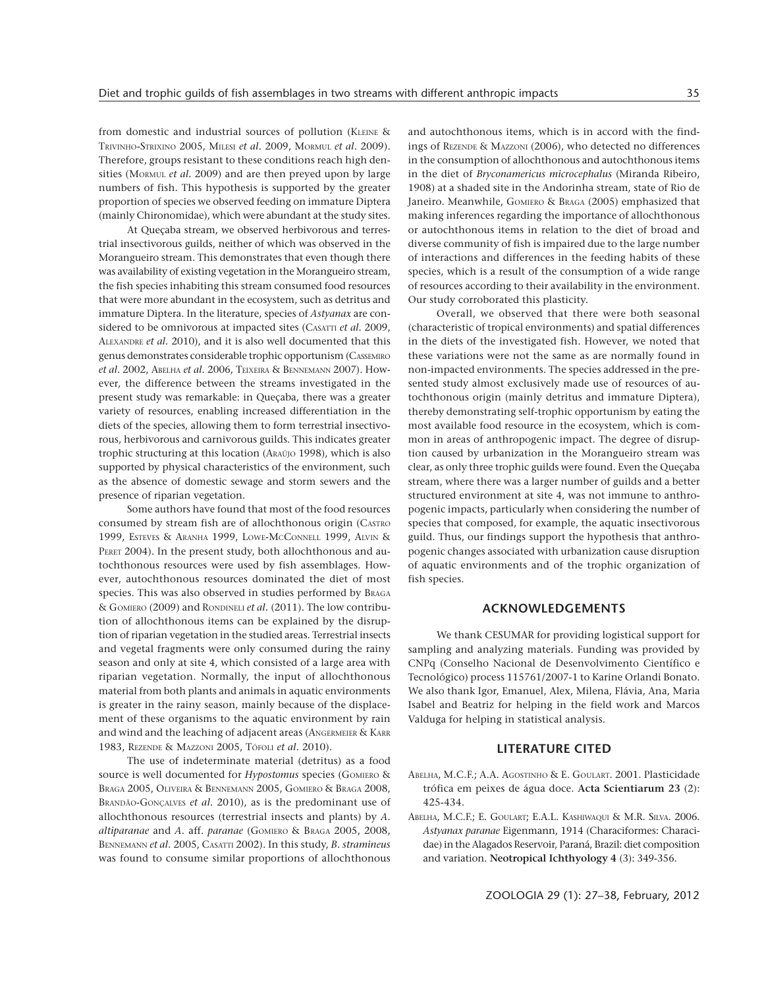from domestic and industrial sources of pollution (KLEINE & TRIVINHO-STRIXINO 2005, MILESI *et al.* 2009, MORMUL *et al.* 2009). Therefore, groups resistant to these conditions reach high densities (MORMUL *et al.* 2009) and are then preyed upon by large numbers of fish. This hypothesis is supported by the greater proportion of species we observed feeding on immature Diptera (mainly Chironomidae), which were abundant at the study sites.

At Queçaba stream, we observed herbivorous and terrestrial insectivorous guilds, neither of which was observed in the Morangueiro stream. This demonstrates that even though there was availability of existing vegetation in the Morangueiro stream, the fish species inhabiting this stream consumed food resources that were more abundant in the ecosystem, such as detritus and immature Diptera. In the literature, species of *Astyanax* are considered to be omnivorous at impacted sites (CASATTI et al. 2009, ALEXANDRE *et al.* 2010), and it is also well documented that this genus demonstrates considerable trophic opportunism (CASSEMIRO *et al.* 2002, ABELHA *et al.* 2006, TEIXEIRA & BENNEMANN 2007). However, the difference between the streams investigated in the present study was remarkable: in Queçaba, there was a greater variety of resources, enabling increased differentiation in the diets of the species, allowing them to form terrestrial insectivorous, herbivorous and carnivorous guilds. This indicates greater trophic structuring at this location (ARAÚJO 1998), which is also supported by physical characteristics of the environment, such as the absence of domestic sewage and storm sewers and the presence of riparian vegetation.

Some authors have found that most of the food resources consumed by stream fish are of allochthonous origin (CASTRO 1999, ESTEVES & ARANHA 1999, LOWE-MCCONNELL 1999, ALVIN & PERET 2004). In the present study, both allochthonous and autochthonous resources were used by fish assemblages. However, autochthonous resources dominated the diet of most species. This was also observed in studies performed by BRAGA & GOMIERO (2009) and RONDINELI *et al.* (2011). The low contribution of allochthonous items can be explained by the disruption of riparian vegetation in the studied areas. Terrestrial insects and vegetal fragments were only consumed during the rainy season and only at site 4, which consisted of a large area with riparian vegetation. Normally, the input of allochthonous material from both plants and animals in aquatic environments is greater in the rainy season, mainly because of the displacement of these organisms to the aquatic environment by rain and wind and the leaching of adjacent areas (ANGERMEIER & KARR 1983, REZENDE & MAZZONI 2005, TÓFOLI *et al.* 2010).

The use of indeterminate material (detritus) as a food source is well documented for *Hypostomus* species (GOMIERO & BRAGA 2005, OLIVEIRA & BENNEMANN 2005, GOMIERO & BRAGA 2008, BRANDÃO-GONÇALVES *et al.* 2010), as is the predominant use of allochthonous resources (terrestrial insects and plants) by *A. altiparanae* and *A.* aff. *paranae* (GOMIERO & BRAGA 2005, 2008, BENNEMANN *et al.* 2005, CASATTI 2002). In this study, *B. stramineus* was found to consume similar proportions of allochthonous and autochthonous items, which is in accord with the findings of REZENDE & MAZZONI (2006), who detected no differences in the consumption of allochthonous and autochthonous items in the diet of *Bryconamericus microcephalus* (Miranda Ribeiro, 1908) at a shaded site in the Andorinha stream, state of Rio de Janeiro. Meanwhile, GOMIERO & BRAGA (2005) emphasized that making inferences regarding the importance of allochthonous or autochthonous items in relation to the diet of broad and diverse community of fish is impaired due to the large number of interactions and differences in the feeding habits of these species, which is a result of the consumption of a wide range of resources according to their availability in the environment. Our study corroborated this plasticity.

Overall, we observed that there were both seasonal (characteristic of tropical environments) and spatial differences in the diets of the investigated fish. However, we noted that these variations were not the same as are normally found in non-impacted environments. The species addressed in the presented study almost exclusively made use of resources of autochthonous origin (mainly detritus and immature Diptera), thereby demonstrating self-trophic opportunism by eating the most available food resource in the ecosystem, which is common in areas of anthropogenic impact. The degree of disruption caused by urbanization in the Morangueiro stream was clear, as only three trophic guilds were found. Even the Queçaba stream, where there was a larger number of guilds and a better structured environment at site 4, was not immune to anthropogenic impacts, particularly when considering the number of species that composed, for example, the aquatic insectivorous guild. Thus, our findings support the hypothesis that anthropogenic changes associated with urbanization cause disruption of aquatic environments and of the trophic organization of fish species.

#### **ACKNOWLEDGEMENTS**

We thank CESUMAR for providing logistical support for sampling and analyzing materials. Funding was provided by CNPq (Conselho Nacional de Desenvolvimento Científico e Tecnológico) process 115761/2007-1 to Karine Orlandi Bonato. We also thank Igor, Emanuel, Alex, Milena, Flávia, Ana, Maria Isabel and Beatriz for helping in the field work and Marcos Valduga for helping in statistical analysis.

## **LITERATURE CITED**

- ABELHA, M.C.F.; A.A. AGOSTINHO & E. GOULART. 2001. Plasticidade trófica em peixes de água doce. **Acta Scientiarum 23** (2): 425-434.
- ABELHA, M.C.F.; E. GOULART; E.A.L. KASHIWAQUI & M.R. SILVA. 2006. *Astyanax paranae* Eigenmann, 1914 (Characiformes: Characidae) in the Alagados Reservoir, Paraná, Brazil: diet composition and variation. **Neotropical Ichthyology 4** (3): 349-356.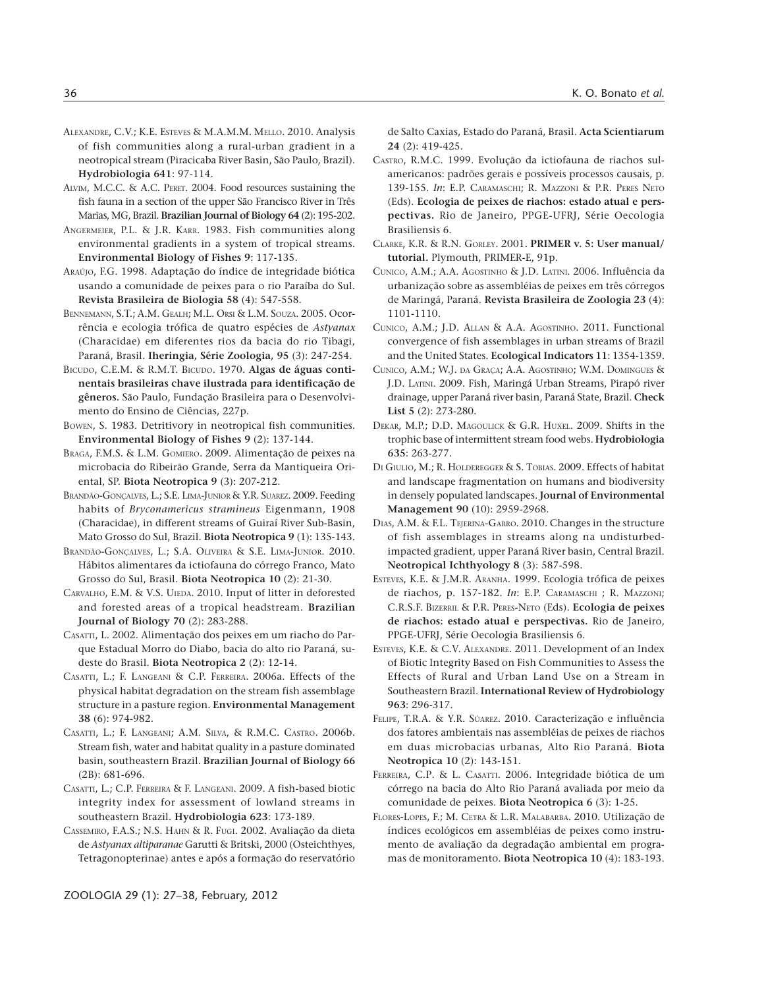- ALEXANDRE, C.V.; K.E. ESTEVES & M.A.M.M. MELLO. 2010. Analysis of fish communities along a rural-urban gradient in a neotropical stream (Piracicaba River Basin, São Paulo, Brazil). **Hydrobiologia 641**: 97-114.
- ALVIM, M.C.C. & A.C. PERET. 2004. Food resources sustaining the fish fauna in a section of the upper São Francisco River in Três Marias, MG, Brazil. **Brazilian Journal of Biology 64** (2): 195-202.
- ANGERMEIER, P.L. & J.R. KARR. 1983. Fish communities along environmental gradients in a system of tropical streams. **Environmental Biology of Fishes 9**: 117-135.
- ARAÚJO, F.G. 1998. Adaptação do índice de integridade biótica usando a comunidade de peixes para o rio Paraíba do Sul. **Revista Brasileira de Biologia 58** (4): 547-558.
- BENNEMANN, S.T.; A.M. GEALH; M.L. ORSI & L.M. SOUZA. 2005. Ocorrência e ecologia trófica de quatro espécies de *Astyanax* (Characidae) em diferentes rios da bacia do rio Tibagi, Paraná, Brasil. **Iheringia, Série Zoologia, 95** (3): 247-254.
- BICUDO, C.E.M. & R.M.T. BICUDO. 1970. **Algas de águas continentais brasileiras chave ilustrada para identificação de gêneros.** São Paulo, Fundação Brasileira para o Desenvolvimento do Ensino de Ciências, 227p.
- BOWEN, S. 1983. Detritivory in neotropical fish communities. **Environmental Biology of Fishes 9** (2): 137-144.
- BRAGA, F.M.S. & L.M. GOMIERO. 2009. Alimentação de peixes na microbacia do Ribeirão Grande, Serra da Mantiqueira Oriental, SP. **Biota Neotropica 9** (3): 207-212.
- BRANDÃO-GONÇALVES, L.; S.E. LIMA-JUNIOR & Y.R. SUAREZ. 2009. Feeding habits of *Bryconamericus stramineus* Eigenmann, 1908 (Characidae), in different streams of Guiraí River Sub-Basin, Mato Grosso do Sul, Brazil. **Biota Neotropica 9** (1): 135-143.
- BRANDÃO-GONÇALVES, L.; S.A. OLIVEIRA & S.E. LIMA-JUNIOR. 2010. Hábitos alimentares da ictiofauna do córrego Franco, Mato Grosso do Sul, Brasil. **Biota Neotropica 10** (2): 21-30.
- CARVALHO, E.M. & V.S. UIEDA. 2010. Input of litter in deforested and forested areas of a tropical headstream. **Brazilian Journal of Biology 70** (2): 283-288.
- CASATTI, L. 2002. Alimentação dos peixes em um riacho do Parque Estadual Morro do Diabo, bacia do alto rio Paraná, sudeste do Brasil. **Biota Neotropica 2** (2): 12-14.
- CASATTI, L.; F. LANGEANI & C.P. FERREIRA. 2006a. Effects of the physical habitat degradation on the stream fish assemblage structure in a pasture region. **Environmental Management 38** (6): 974-982.
- CASATTI, L.; F. LANGEANI; A.M. SILVA, & R.M.C. CASTRO. 2006b. Stream fish, water and habitat quality in a pasture dominated basin, southeastern Brazil. **Brazilian Journal of Biology 66** (2B): 681-696.
- CASATTI, L.; C.P. FERREIRA & F. LANGEANI. 2009. A fish-based biotic integrity index for assessment of lowland streams in southeastern Brazil. **Hydrobiologia 623**: 173-189.
- CASSEMIRO, F.A.S.; N.S. HAHN & R. FUGI. 2002. Avaliação da dieta de *Astyanax altiparanae* Garutti & Britski, 2000 (Osteichthyes, Tetragonopterinae) antes e após a formação do reservatório

de Salto Caxias, Estado do Paraná, Brasil. **Acta Scientiarum 24** (2): 419-425.

- CASTRO, R.M.C. 1999. Evolução da ictiofauna de riachos sulamericanos: padrões gerais e possíveis processos causais, p. 139-155. *In*: E.P. CARAMASCHI; R. MAZZONI & P.R. PERES NETO (Eds). **Ecologia de peixes de riachos: estado atual e perspectivas.** Rio de Janeiro, PPGE-UFRJ, Série Oecologia Brasiliensis 6.
- CLARKE, K.R. & R.N. GORLEY. 2001. **PRIMER v. 5: User manual/ tutorial.** Plymouth, PRIMER-E, 91p.
- CUNICO, A.M.; A.A. AGOSTINHO & J.D. LATINI. 2006. Influência da urbanização sobre as assembléias de peixes em três córregos de Maringá, Paraná. **Revista Brasileira de Zoologia 23** (4): 1101-1110.
- CUNICO, A.M.; J.D. ALLAN & A.A. AGOSTINHO. 2011. Functional convergence of fish assemblages in urban streams of Brazil and the United States. **Ecological Indicators 11**: 1354-1359.
- CUNICO, A.M.; W.J. DA GRAÇA; A.A. AGOSTINHO; W.M. DOMINGUES & J.D. LATINI. 2009. Fish, Maringá Urban Streams, Pirapó river drainage, upper Paraná river basin, Paraná State, Brazil. **Check List 5** (2): 273-280.
- DEKAR, M.P.; D.D. MAGOULICK & G.R. HUXEL. 2009. Shifts in the trophic base of intermittent stream food webs. **Hydrobiologia 635**: 263-277.
- DI GIULIO, M.; R. HOLDEREGGER & S. TOBIAS. 2009. Effects of habitat and landscape fragmentation on humans and biodiversity in densely populated landscapes. **Journal of Environmental Management 90** (10): 2959-2968.
- DIAS, A.M. & F.L. TEJERINA-GARRO. 2010. Changes in the structure of fish assemblages in streams along na undisturbedimpacted gradient, upper Paraná River basin, Central Brazil. **Neotropical Ichthyology 8** (3): 587-598.
- ESTEVES, K.E. & J.M.R. ARANHA. 1999. Ecologia trófica de peixes de riachos, p. 157-182. *In*: E.P. CARAMASCHI ; R. MAZZONI; C.R.S.F. BIZERRIL & P.R. PERES-NETO (Eds). **Ecologia de peixes de riachos: estado atual e perspectivas.** Rio de Janeiro, PPGE-UFRJ, Série Oecologia Brasiliensis 6.
- ESTEVES, K.E. & C.V. ALEXANDRE. 2011. Development of an Index of Biotic Integrity Based on Fish Communities to Assess the Effects of Rural and Urban Land Use on a Stream in Southeastern Brazil. **International Review of Hydrobiology 963**: 296-317.
- FELIPE, T.R.A. & Y.R. SÚAREZ. 2010. Caracterização e influência dos fatores ambientais nas assembléias de peixes de riachos em duas microbacias urbanas, Alto Rio Paraná. **Biota Neotropica 10** (2): 143-151.
- FERREIRA, C.P. & L. CASATTI. 2006. Integridade biótica de um córrego na bacia do Alto Rio Paraná avaliada por meio da comunidade de peixes. **Biota Neotropica 6** (3): 1-25.
- FLORES-LOPES, F.; M. CETRA & L.R. MALABARBA. 2010. Utilização de índices ecológicos em assembléias de peixes como instrumento de avaliação da degradação ambiental em programas de monitoramento. **Biota Neotropica 10** (4): 183-193.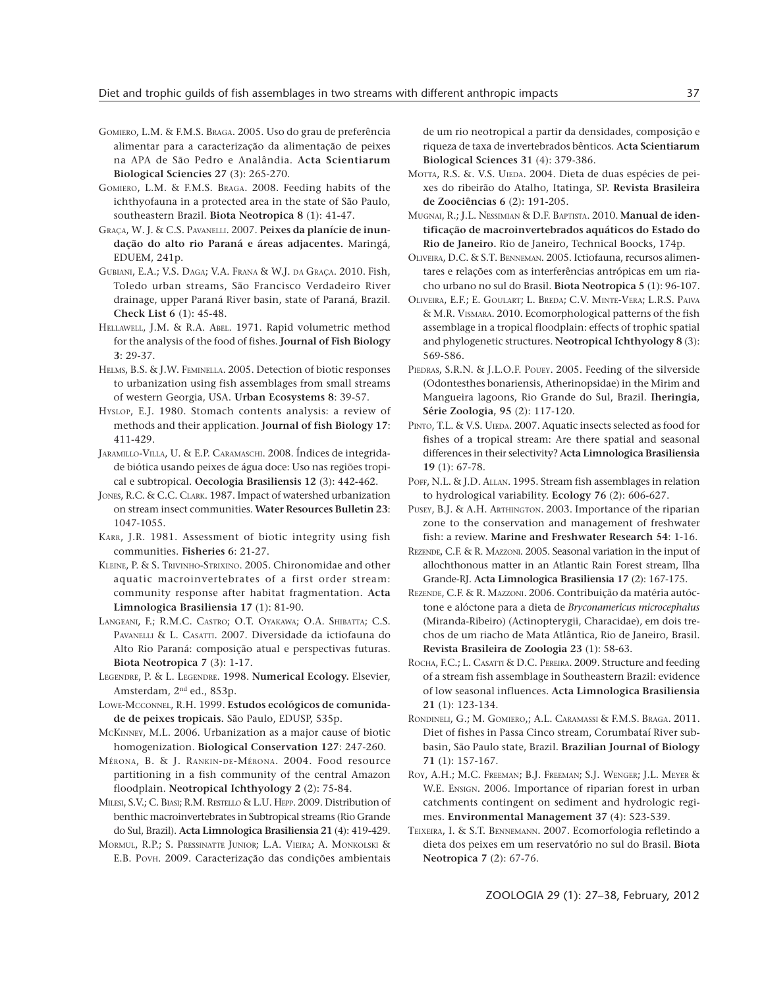- GOMIERO, L.M. & F.M.S. BRAGA. 2005. Uso do grau de preferência alimentar para a caracterização da alimentação de peixes na APA de São Pedro e Analândia. **Acta Scientiarum Biological Sciencies 27** (3): 265-270.
- GOMIERO, L.M. & F.M.S. BRAGA. 2008. Feeding habits of the ichthyofauna in a protected area in the state of São Paulo, southeastern Brazil. **Biota Neotropica 8** (1): 41-47.
- GRAÇA, W. J. & C.S. PAVANELLI. 2007. **Peixes da planície de inundação do alto rio Paraná e áreas adjacentes.** Maringá, EDUEM, 241p.
- GUBIANI, E.A.; V.S. DAGA; V.A. FRANA & W.J. DA GRAÇA. 2010. Fish, Toledo urban streams, São Francisco Verdadeiro River drainage, upper Paraná River basin, state of Paraná, Brazil. **Check List 6** (1): 45-48.
- HELLAWELL, J.M. & R.A. ABEL. 1971. Rapid volumetric method for the analysis of the food of fishes. **Journal of Fish Biology 3**: 29-37.
- HELMS, B.S. & J.W. FEMINELLA. 2005. Detection of biotic responses to urbanization using fish assemblages from small streams of western Georgia, USA. **Urban Ecosystems 8**: 39-57.
- HYSLOP, E.J. 1980. Stomach contents analysis: a review of methods and their application. **Journal of fish Biology 17**: 411-429.
- JARAMILLO-VILLA, U. & E.P. CARAMASCHI. 2008. Índices de integridade biótica usando peixes de água doce: Uso nas regiões tropical e subtropical. **Oecologia Brasiliensis 12** (3): 442-462.
- JONES, R.C. & C.C. CLARK. 1987. Impact of watershed urbanization on stream insect communities. **Water Resources Bulletin 23**: 1047-1055.
- KARR, J.R. 1981. Assessment of biotic integrity using fish communities. **Fisheries 6**: 21-27.
- KLEINE, P. & S. TRIVINHO-STRIXINO. 2005. Chironomidae and other aquatic macroinvertebrates of a first order stream: community response after habitat fragmentation. **Acta Limnologica Brasiliensia 17** (1): 81-90.
- LANGEANI, F.; R.M.C. CASTRO; O.T. OYAKAWA; O.A. SHIBATTA; C.S. PAVANELLI & L. CASATTI. 2007. Diversidade da ictiofauna do Alto Rio Paraná: composição atual e perspectivas futuras. **Biota Neotropica 7** (3): 1-17.
- LEGENDRE, P. & L. LEGENDRE. 1998. **Numerical Ecology.** Elsevier, Amsterdam, 2nd ed., 853p.
- LOWE-MCCONNEL, R.H. 1999. **Estudos ecológicos de comunidade de peixes tropicais.** São Paulo, EDUSP, 535p.
- MCKINNEY, M.L. 2006. Urbanization as a major cause of biotic homogenization. **Biological Conservation 127**: 247-260.
- MÉRONA, B. & J. RANKIN-DE-MÉRONA. 2004. Food resource partitioning in a fish community of the central Amazon floodplain. **Neotropical Ichthyology 2** (2): 75-84.
- MILESI, S.V.; C. BIASI; R.M. RESTELLO & L.U. HEPP. 2009. Distribution of benthic macroinvertebrates in Subtropical streams (Rio Grande do Sul, Brazil). **Acta Limnologica Brasiliensia 21** (4): 419-429.
- MORMUL, R.P.; S. PRESSINATTE JUNIOR; L.A. VIEIRA; A. MONKOLSKI & E.B. POVH. 2009. Caracterização das condições ambientais

de um rio neotropical a partir da densidades, composição e riqueza de taxa de invertebrados bênticos. **Acta Scientiarum Biological Sciences 31** (4): 379-386.

- MOTTA, R.S. &. V.S. UIEDA. 2004. Dieta de duas espécies de peixes do ribeirão do Atalho, Itatinga, SP. **Revista Brasileira de Zoociências 6** (2): 191-205.
- MUGNAI, R.; J.L. NESSIMIAN & D.F. BAPTISTA. 2010. **Manual de identificação de macroinvertebrados aquáticos do Estado do Rio de Janeiro.** Rio de Janeiro, Technical Boocks, 174p.
- OLIVEIRA, D.C. & S.T. BENNEMAN. 2005. Ictiofauna, recursos alimentares e relações com as interferências antrópicas em um riacho urbano no sul do Brasil. **Biota Neotropica 5** (1): 96-107.
- OLIVEIRA, E.F.; E. GOULART; L. BREDA; C.V. MINTE-VERA; L.R.S. PAIVA & M.R. VISMARA. 2010. Ecomorphological patterns of the fish assemblage in a tropical floodplain: effects of trophic spatial and phylogenetic structures. **Neotropical Ichthyology 8** (3): 569-586.
- PIEDRAS, S.R.N. & J.L.O.F. POUEY. 2005. Feeding of the silverside (Odontesthes bonariensis, Atherinopsidae) in the Mirim and Mangueira lagoons, Rio Grande do Sul, Brazil. **Iheringia, Série Zoologia, 95** (2): 117-120.
- PINTO, T.L. & V.S. UIEDA. 2007. Aquatic insects selected as food for fishes of a tropical stream: Are there spatial and seasonal differences in their selectivity? **Acta Limnologica Brasiliensia 19** (1): 67-78.
- POFF, N.L. & J.D. ALLAN. 1995. Stream fish assemblages in relation to hydrological variability. **Ecology 76** (2): 606-627.
- PUSEY, B.J. & A.H. ARTHINGTON. 2003. Importance of the riparian zone to the conservation and management of freshwater fish: a review. **Marine and Freshwater Research 54**: 1-16.
- REZENDE, C.F. & R. MAZZONI. 2005. Seasonal variation in the input of allochthonous matter in an Atlantic Rain Forest stream, Ilha Grande-RJ. **Acta Limnologica Brasiliensia 17** (2): 167-175.
- REZENDE, C.F. & R. MAZZONI. 2006. Contribuição da matéria autóctone e alóctone para a dieta de *Bryconamericus microcephalus* (Miranda-Ribeiro) (Actinopterygii, Characidae), em dois trechos de um riacho de Mata Atlântica, Rio de Janeiro, Brasil. **Revista Brasileira de Zoologia 23** (1): 58-63.
- ROCHA, F.C.; L. CASATTI & D.C. PEREIRA. 2009. Structure and feeding of a stream fish assemblage in Southeastern Brazil: evidence of low seasonal influences. **Acta Limnologica Brasiliensia 21** (1): 123-134.
- RONDINELI, G.; M. GOMIERO,; A.L. CARAMASSI & F.M.S. BRAGA. 2011. Diet of fishes in Passa Cinco stream, Corumbataí River subbasin, São Paulo state, Brazil. **Brazilian Journal of Biology 71** (1): 157-167.
- ROY, A.H.; M.C. FREEMAN; B.J. FREEMAN; S.J. WENGER; J.L. MEYER & W.E. ENSIGN. 2006. Importance of riparian forest in urban catchments contingent on sediment and hydrologic regimes. **Environmental Management 37** (4): 523-539.
- TEIXEIRA, I. & S.T. BENNEMANN. 2007. Ecomorfologia refletindo a dieta dos peixes em um reservatório no sul do Brasil. **Biota Neotropica 7** (2): 67-76.